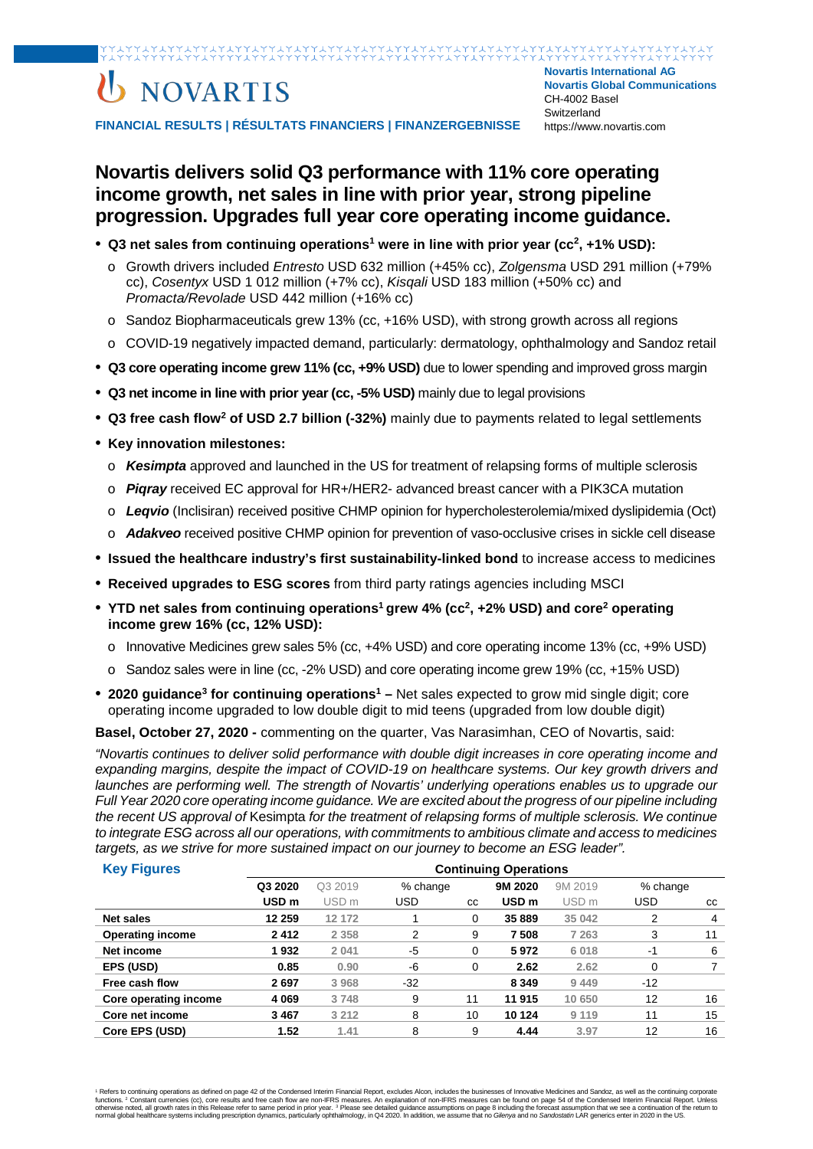### 

# U NOVARTIS

**Novartis International AG Novartis Global Communications**  CH-4002 Basel **Switzerland** https://www.novartis.com

**FINANCIAL RESULTS | RÉSULTATS FINANCIERS | FINANZERGEBNISSE** 

### **Novartis delivers solid Q3 performance with 11% core operating income growth, net sales in line with prior year, strong pipeline progression. Upgrades full year core operating income guidance.**

- **Q3 net sales from continuing operations1 were in line with prior year (cc2, +1% USD):**
	- o Growth drivers included *Entresto* USD 632 million (+45% cc), *Zolgensma* USD 291 million (+79% cc), *Cosentyx* USD 1 012 million (+7% cc), *Kisqali* USD 183 million (+50% cc) and *Promacta/Revolade* USD 442 million (+16% cc)
	- o Sandoz Biopharmaceuticals grew 13% (cc, +16% USD), with strong growth across all regions
	- o COVID-19 negatively impacted demand, particularly: dermatology, ophthalmology and Sandoz retail
- **Q3 core operating income grew 11% (cc, +9% USD)** due to lower spending and improved gross margin
- **Q3 net income in line with prior year (cc, -5% USD)** mainly due to legal provisions
- **Q3 free cash flow2 of USD 2.7 billion (-32%)** mainly due to payments related to legal settlements
- **Key innovation milestones:**
	- o *Kesimpta* approved and launched in the US for treatment of relapsing forms of multiple sclerosis
	- o *Piqray* received EC approval for HR+/HER2- advanced breast cancer with a PIK3CA mutation
	- o *Leqvio* (Inclisiran) received positive CHMP opinion for hypercholesterolemia/mixed dyslipidemia (Oct)
	- o *Adakveo* received positive CHMP opinion for prevention of vaso-occlusive crises in sickle cell disease
- **Issued the healthcare industry's first sustainability-linked bond** to increase access to medicines
- **Received upgrades to ESG scores** from third party ratings agencies including MSCI
- YTD net sales from continuing operations<sup>1</sup> grew 4% (cc<sup>2</sup>, +2% USD) and core<sup>2</sup> operating **income grew 16% (cc, 12% USD):** 
	- o Innovative Medicines grew sales 5% (cc, +4% USD) and core operating income 13% (cc, +9% USD)
	- o Sandoz sales were in line (cc, -2% USD) and core operating income grew 19% (cc, +15% USD)
- 2020 quidance<sup>3</sup> for continuing operations<sup>1</sup> Net sales expected to grow mid single digit; core operating income upgraded to low double digit to mid teens (upgraded from low double digit)

**Basel, October 27, 2020 -** commenting on the quarter, Vas Narasimhan, CEO of Novartis, said:

*"Novartis continues to deliver solid performance with double digit increases in core operating income and expanding margins, despite the impact of COVID-19 on healthcare systems. Our key growth drivers and launches are performing well. The strength of Novartis' underlying operations enables us to upgrade our Full Year 2020 core operating income guidance. We are excited about the progress of our pipeline including the recent US approval of* Kesimpta *for the treatment of relapsing forms of multiple sclerosis. We continue to integrate ESG across all our operations, with commitments to ambitious climate and access to medicines targets, as we strive for more sustained impact on our journey to become an ESG leader".*

| <b>Key Figures</b>      | <b>Continuing Operations</b> |                  |          |           |                  |                  |          |    |
|-------------------------|------------------------------|------------------|----------|-----------|------------------|------------------|----------|----|
|                         | Q3 2020                      | Q3 2019          | % change |           | 9M 2020          | 9M 2019          | % change |    |
|                         | USD <sub>m</sub>             | USD <sub>m</sub> | USD      | <b>CC</b> | USD <sub>m</sub> | USD <sub>m</sub> | USD      | CC |
| <b>Net sales</b>        | 12 259                       | 12 172           |          | 0         | 35 889           | 35 042           | 2        | 4  |
| <b>Operating income</b> | 2412                         | 2 3 5 8          | 2        | 9         | 7508             | 7 263            | 3        | 11 |
| Net income              | 1932                         | 2 0 4 1          | -5       | 0         | 5972             | 6018             | -1       | 6  |
| EPS (USD)               | 0.85                         | 0.90             | -6       | 0         | 2.62             | 2.62             | $\Omega$ |    |
| Free cash flow          | 2697                         | 3 9 6 8          | $-32$    |           | 8 3 4 9          | 9 4 4 9          | $-12$    |    |
| Core operating income   | 4 0 6 9                      | 3748             | 9        | 11        | 11 915           | 10 650           | 12       | 16 |
| Core net income         | 3467                         | 3 2 1 2          | 8        | 10        | 10 124           | 9 1 1 9          | 11       | 15 |
| Core EPS (USD)          | 1.52                         | 1.41             | 8        | 9         | 4.44             | 3.97             | 12       | 16 |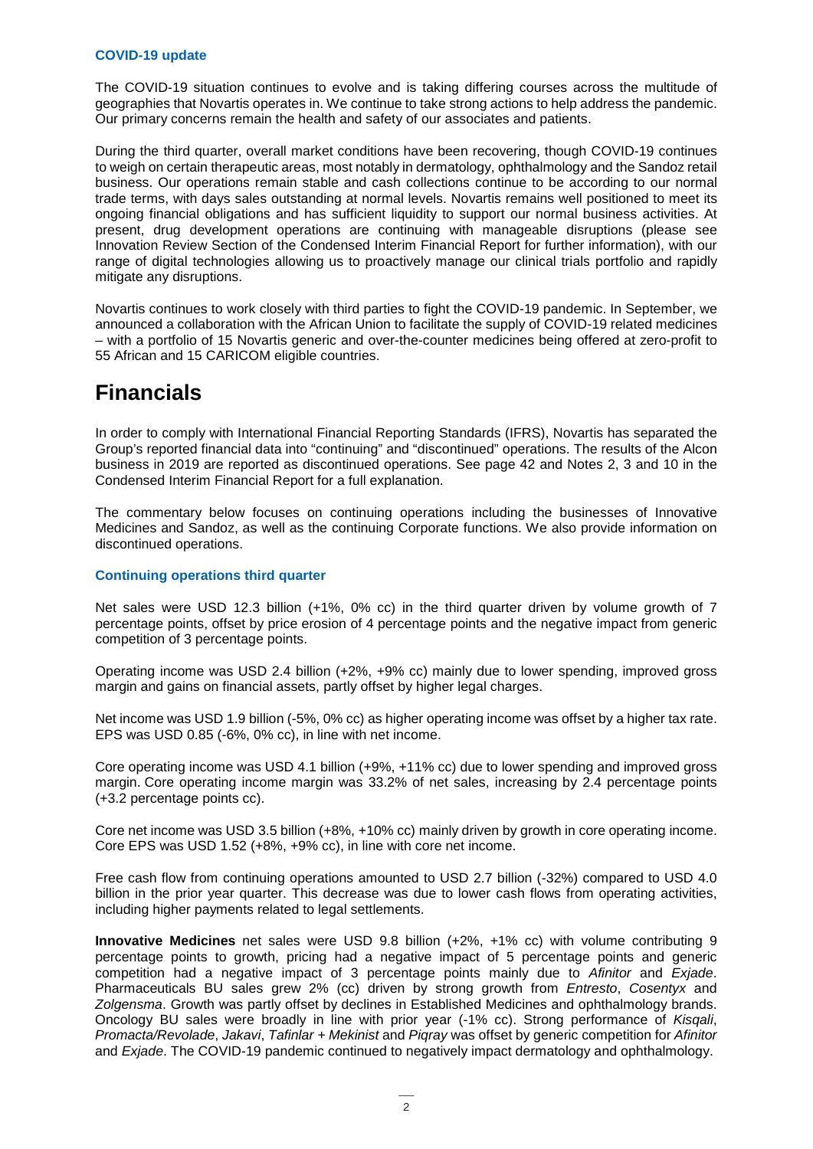#### **COVID-19 update**

The COVID-19 situation continues to evolve and is taking differing courses across the multitude of geographies that Novartis operates in. We continue to take strong actions to help address the pandemic. Our primary concerns remain the health and safety of our associates and patients.

During the third quarter, overall market conditions have been recovering, though COVID-19 continues to weigh on certain therapeutic areas, most notably in dermatology, ophthalmology and the Sandoz retail business. Our operations remain stable and cash collections continue to be according to our normal trade terms, with days sales outstanding at normal levels. Novartis remains well positioned to meet its ongoing financial obligations and has sufficient liquidity to support our normal business activities. At present, drug development operations are continuing with manageable disruptions (please see Innovation Review Section of the Condensed Interim Financial Report for further information), with our range of digital technologies allowing us to proactively manage our clinical trials portfolio and rapidly mitigate any disruptions.

Novartis continues to work closely with third parties to fight the COVID-19 pandemic. In September, we announced a collaboration with the African Union to facilitate the supply of COVID-19 related medicines – with a portfolio of 15 Novartis generic and over-the-counter medicines being offered at zero-profit to 55 African and 15 CARICOM eligible countries.

### **Financials**

In order to comply with International Financial Reporting Standards (IFRS), Novartis has separated the Group's reported financial data into "continuing" and "discontinued" operations. The results of the Alcon business in 2019 are reported as discontinued operations. See page 42 and Notes 2, 3 and 10 in the Condensed Interim Financial Report for a full explanation.

The commentary below focuses on continuing operations including the businesses of Innovative Medicines and Sandoz, as well as the continuing Corporate functions. We also provide information on discontinued operations.

#### **Continuing operations third quarter**

Net sales were USD 12.3 billion (+1%, 0% cc) in the third quarter driven by volume growth of 7 percentage points, offset by price erosion of 4 percentage points and the negative impact from generic competition of 3 percentage points.

Operating income was USD 2.4 billion (+2%, +9% cc) mainly due to lower spending, improved gross margin and gains on financial assets, partly offset by higher legal charges.

Net income was USD 1.9 billion (-5%, 0% cc) as higher operating income was offset by a higher tax rate. EPS was USD 0.85 (-6%, 0% cc), in line with net income.

Core operating income was USD 4.1 billion (+9%, +11% cc) due to lower spending and improved gross margin. Core operating income margin was 33.2% of net sales, increasing by 2.4 percentage points (+3.2 percentage points cc).

Core net income was USD 3.5 billion (+8%, +10% cc) mainly driven by growth in core operating income. Core EPS was USD 1.52 (+8%, +9% cc), in line with core net income.

Free cash flow from continuing operations amounted to USD 2.7 billion (-32%) compared to USD 4.0 billion in the prior year quarter. This decrease was due to lower cash flows from operating activities, including higher payments related to legal settlements.

**Innovative Medicines** net sales were USD 9.8 billion (+2%, +1% cc) with volume contributing 9 percentage points to growth, pricing had a negative impact of 5 percentage points and generic competition had a negative impact of 3 percentage points mainly due to *Afinitor* and *Exjade*. Pharmaceuticals BU sales grew 2% (cc) driven by strong growth from *Entresto*, *Cosentyx* and *Zolgensma*. Growth was partly offset by declines in Established Medicines and ophthalmology brands. Oncology BU sales were broadly in line with prior year (-1% cc). Strong performance of *Kisqali*, *Promacta/Revolade*, *Jakavi*, *Tafinlar + Mekinist* and *Piqray* was offset by generic competition for *Afinitor* and *Exjade*. The COVID-19 pandemic continued to negatively impact dermatology and ophthalmology.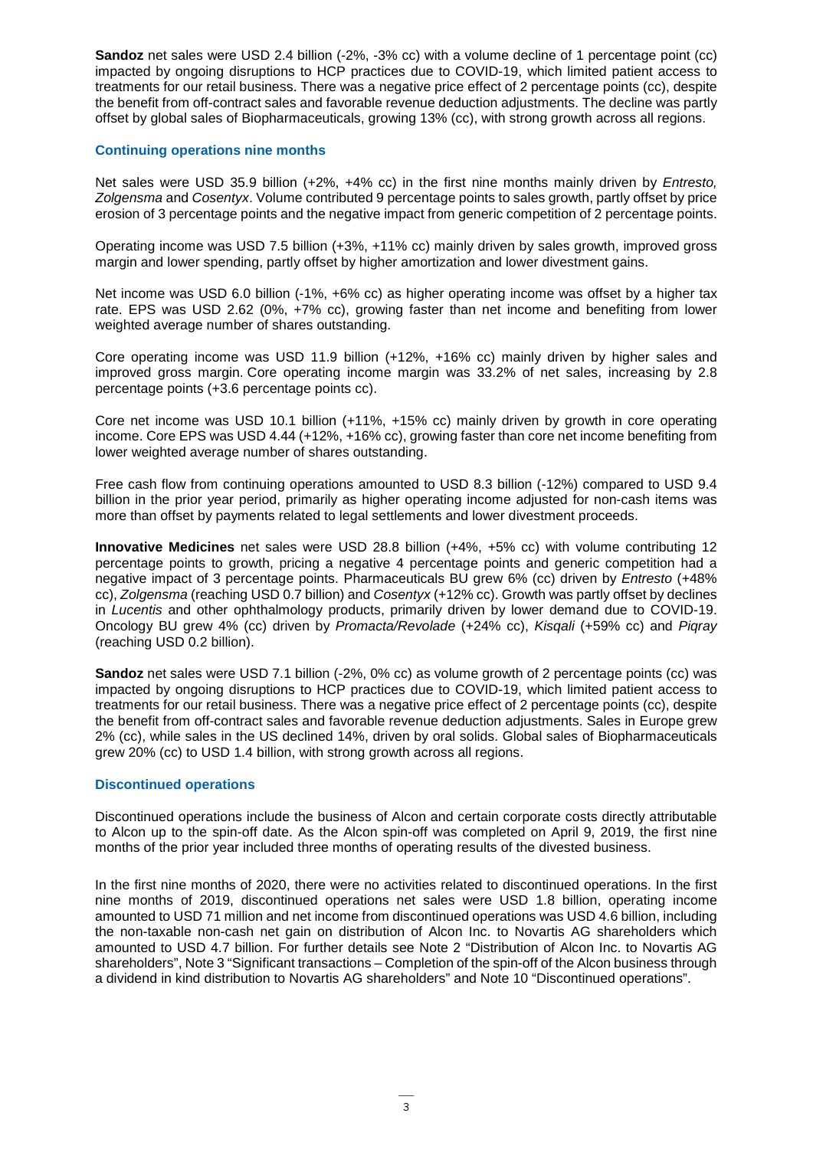**Sandoz** net sales were USD 2.4 billion (-2%, -3% cc) with a volume decline of 1 percentage point (cc) impacted by ongoing disruptions to HCP practices due to COVID-19, which limited patient access to treatments for our retail business. There was a negative price effect of 2 percentage points (cc), despite the benefit from off-contract sales and favorable revenue deduction adjustments. The decline was partly offset by global sales of Biopharmaceuticals, growing 13% (cc), with strong growth across all regions.

#### **Continuing operations nine months**

Net sales were USD 35.9 billion (+2%, +4% cc) in the first nine months mainly driven by *Entresto, Zolgensma* and *Cosentyx*. Volume contributed 9 percentage points to sales growth, partly offset by price erosion of 3 percentage points and the negative impact from generic competition of 2 percentage points.

Operating income was USD 7.5 billion (+3%, +11% cc) mainly driven by sales growth, improved gross margin and lower spending, partly offset by higher amortization and lower divestment gains.

Net income was USD 6.0 billion (-1%, +6% cc) as higher operating income was offset by a higher tax rate. EPS was USD 2.62 (0%, +7% cc), growing faster than net income and benefiting from lower weighted average number of shares outstanding.

Core operating income was USD 11.9 billion (+12%, +16% cc) mainly driven by higher sales and improved gross margin. Core operating income margin was 33.2% of net sales, increasing by 2.8 percentage points (+3.6 percentage points cc).

Core net income was USD 10.1 billion (+11%, +15% cc) mainly driven by growth in core operating income. Core EPS was USD 4.44 (+12%, +16% cc), growing faster than core net income benefiting from lower weighted average number of shares outstanding.

Free cash flow from continuing operations amounted to USD 8.3 billion (-12%) compared to USD 9.4 billion in the prior year period, primarily as higher operating income adjusted for non-cash items was more than offset by payments related to legal settlements and lower divestment proceeds.

**Innovative Medicines** net sales were USD 28.8 billion (+4%, +5% cc) with volume contributing 12 percentage points to growth, pricing a negative 4 percentage points and generic competition had a negative impact of 3 percentage points. Pharmaceuticals BU grew 6% (cc) driven by *Entresto* (+48% cc), *Zolgensma* (reaching USD 0.7 billion) and *Cosentyx* (+12% cc). Growth was partly offset by declines in *Lucentis* and other ophthalmology products, primarily driven by lower demand due to COVID-19. Oncology BU grew 4% (cc) driven by *Promacta/Revolade* (+24% cc), *Kisqali* (+59% cc) and *Piqray* (reaching USD 0.2 billion).

**Sandoz** net sales were USD 7.1 billion (-2%, 0% cc) as volume growth of 2 percentage points (cc) was impacted by ongoing disruptions to HCP practices due to COVID-19, which limited patient access to treatments for our retail business. There was a negative price effect of 2 percentage points (cc), despite the benefit from off-contract sales and favorable revenue deduction adjustments. Sales in Europe grew 2% (cc), while sales in the US declined 14%, driven by oral solids. Global sales of Biopharmaceuticals grew 20% (cc) to USD 1.4 billion, with strong growth across all regions.

#### **Discontinued operations**

Discontinued operations include the business of Alcon and certain corporate costs directly attributable to Alcon up to the spin-off date. As the Alcon spin-off was completed on April 9, 2019, the first nine months of the prior year included three months of operating results of the divested business.

In the first nine months of 2020, there were no activities related to discontinued operations. In the first nine months of 2019, discontinued operations net sales were USD 1.8 billion, operating income amounted to USD 71 million and net income from discontinued operations was USD 4.6 billion, including the non-taxable non-cash net gain on distribution of Alcon Inc. to Novartis AG shareholders which amounted to USD 4.7 billion. For further details see Note 2 "Distribution of Alcon Inc. to Novartis AG shareholders", Note 3 "Significant transactions – Completion of the spin-off of the Alcon business through a dividend in kind distribution to Novartis AG shareholders" and Note 10 "Discontinued operations".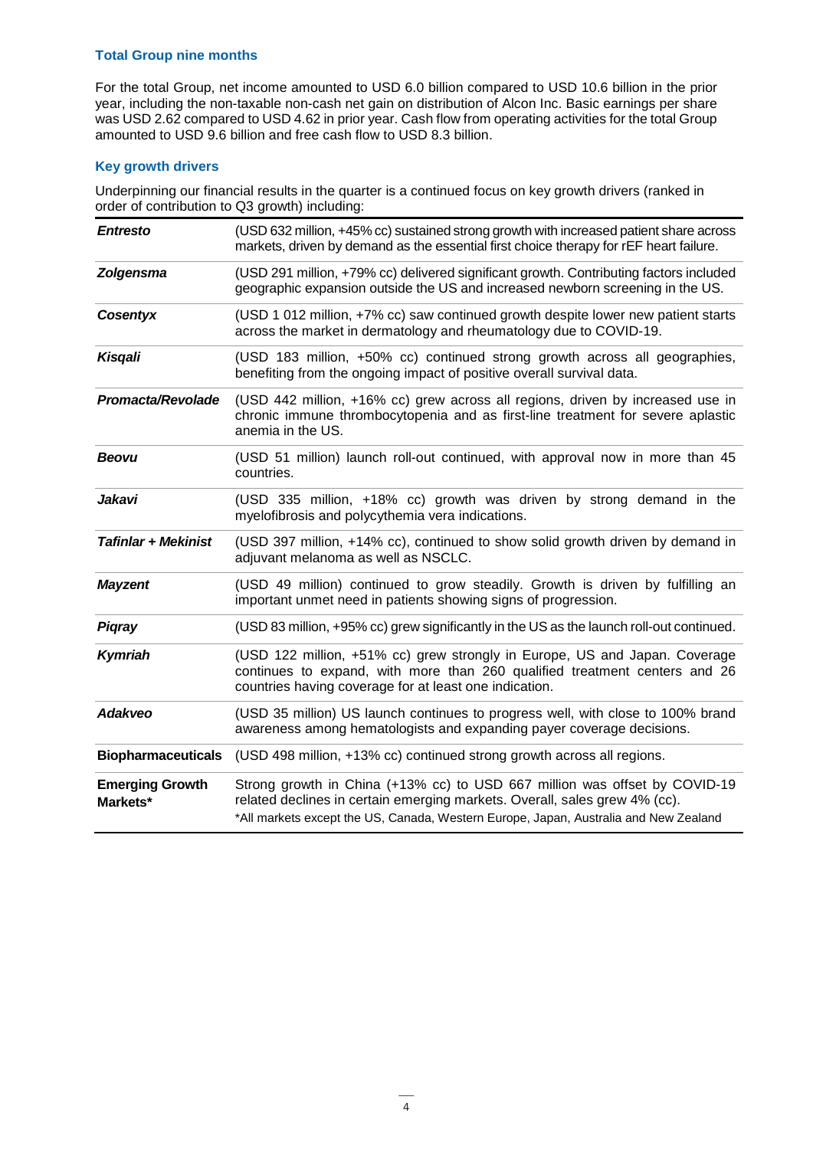#### **Total Group nine months**

For the total Group, net income amounted to USD 6.0 billion compared to USD 10.6 billion in the prior year, including the non-taxable non-cash net gain on distribution of Alcon Inc. Basic earnings per share was USD 2.62 compared to USD 4.62 in prior year. Cash flow from operating activities for the total Group amounted to USD 9.6 billion and free cash flow to USD 8.3 billion.

#### **Key growth drivers**

Underpinning our financial results in the quarter is a continued focus on key growth drivers (ranked in order of contribution to Q3 growth) including:

| <b>Entresto</b>                    | (USD 632 million, +45% cc) sustained strong growth with increased patient share across<br>markets, driven by demand as the essential first choice therapy for rEF heart failure.                                                                 |
|------------------------------------|--------------------------------------------------------------------------------------------------------------------------------------------------------------------------------------------------------------------------------------------------|
| <b>Zolgensma</b>                   | (USD 291 million, +79% cc) delivered significant growth. Contributing factors included<br>geographic expansion outside the US and increased newborn screening in the US.                                                                         |
| Cosentyx                           | (USD 1 012 million, +7% cc) saw continued growth despite lower new patient starts<br>across the market in dermatology and rheumatology due to COVID-19.                                                                                          |
| Kisgali                            | (USD 183 million, +50% cc) continued strong growth across all geographies,<br>benefiting from the ongoing impact of positive overall survival data.                                                                                              |
| Promacta/Revolade                  | (USD 442 million, +16% cc) grew across all regions, driven by increased use in<br>chronic immune thrombocytopenia and as first-line treatment for severe aplastic<br>anemia in the US.                                                           |
| <b>Beovu</b>                       | (USD 51 million) launch roll-out continued, with approval now in more than 45<br>countries.                                                                                                                                                      |
| Jakavi                             | (USD 335 million, +18% cc) growth was driven by strong demand in the<br>myelofibrosis and polycythemia vera indications.                                                                                                                         |
| <b>Tafinlar + Mekinist</b>         | (USD 397 million, +14% cc), continued to show solid growth driven by demand in<br>adjuvant melanoma as well as NSCLC.                                                                                                                            |
| <b>Mayzent</b>                     | (USD 49 million) continued to grow steadily. Growth is driven by fulfilling an<br>important unmet need in patients showing signs of progression.                                                                                                 |
| <b>Pigray</b>                      | (USD 83 million, +95% cc) grew significantly in the US as the launch roll-out continued.                                                                                                                                                         |
| <b>Kymriah</b>                     | (USD 122 million, +51% cc) grew strongly in Europe, US and Japan. Coverage<br>continues to expand, with more than 260 qualified treatment centers and 26<br>countries having coverage for at least one indication.                               |
| Adakveo                            | (USD 35 million) US launch continues to progress well, with close to 100% brand<br>awareness among hematologists and expanding payer coverage decisions.                                                                                         |
| <b>Biopharmaceuticals</b>          | (USD 498 million, +13% cc) continued strong growth across all regions.                                                                                                                                                                           |
| <b>Emerging Growth</b><br>Markets* | Strong growth in China (+13% cc) to USD 667 million was offset by COVID-19<br>related declines in certain emerging markets. Overall, sales grew 4% (cc).<br>*All markets except the US, Canada, Western Europe, Japan, Australia and New Zealand |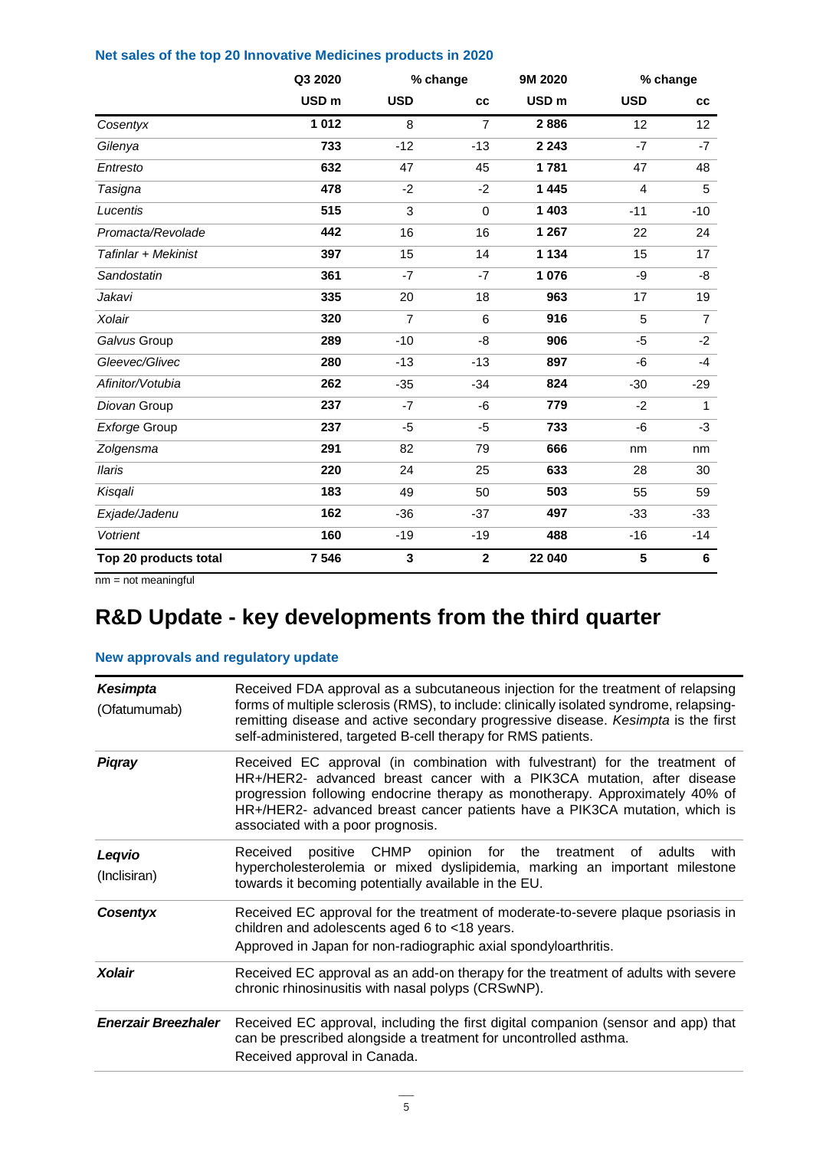#### **Net sales of the top 20 Innovative Medicines products in 2020**

|                       | Q3 2020          |                | % change        |                  | 9M 2020<br>% change |                |
|-----------------------|------------------|----------------|-----------------|------------------|---------------------|----------------|
|                       | USD <sub>m</sub> | <b>USD</b>     | cc              | USD <sub>m</sub> | <b>USD</b>          | cc             |
| Cosentyx              | 1 0 1 2          | 8              | $\overline{7}$  | 2886             | 12                  | 12             |
| Gilenya               | 733              | $-12$          | $-13$           | 2 2 4 3          | $-7$                | $-7$           |
| Entresto              | 632              | 47             | 45              | 1781             | 47                  | 48             |
| Tasigna               | 478              | $-2$           | $-2$            | 1 4 4 5          | 4                   | 5              |
| Lucentis              | 515              | 3              | $\Omega$        | 1 4 0 3          | $-11$               | $-10$          |
| Promacta/Revolade     | 442              | 16             | 16              | 1 2 6 7          | 22                  | 24             |
| Tafinlar + Mekinist   | 397              | 15             | 14              | 1 1 3 4          | 15                  | 17             |
| Sandostatin           | 361              | $-7$           | $-7$            | 1 0 7 6          | -9                  | -8             |
| Jakavi                | 335              | 20             | 18              | 963              | 17                  | 19             |
| Xolair                | 320              | $\overline{7}$ | $6\phantom{1}6$ | 916              | 5                   | $\overline{7}$ |
| Galvus Group          | 289              | $-10$          | -8              | 906              | $-5$                | $-2$           |
| Gleevec/Glivec        | 280              | $-13$          | $-13$           | 897              | $-6$                | $-4$           |
| Afinitor/Votubia      | 262              | $-35$          | $-34$           | 824              | $-30$               | $-29$          |
| Diovan Group          | 237              | $-7$           | -6              | 779              | $-2$                | $\mathbf{1}$   |
| Exforge Group         | 237              | $-5$           | $-5$            | 733              | $-6$                | $-3$           |
| Zolgensma             | 291              | 82             | 79              | 666              | nm                  | nm             |
| <b>Ilaris</b>         | 220              | 24             | 25              | 633              | 28                  | 30             |
| Kisqali               | 183              | 49             | 50              | 503              | 55                  | 59             |
| Exjade/Jadenu         | 162              | $-36$          | $-37$           | 497              | $-33$               | $-33$          |
| Votrient              | 160              | $-19$          | $-19$           | 488              | $-16$               | -14            |
| Top 20 products total | 7 546            | 3              | $\mathbf{2}$    | 22 040           | 5                   | 6              |

nm = not meaningful

# **R&D Update - key developments from the third quarter**

#### **New approvals and regulatory update**

| <b>Kesimpta</b><br>(Ofatumumab) | Received FDA approval as a subcutaneous injection for the treatment of relapsing<br>forms of multiple sclerosis (RMS), to include: clinically isolated syndrome, relapsing-<br>remitting disease and active secondary progressive disease. Kesimpta is the first<br>self-administered, targeted B-cell therapy for RMS patients.                         |
|---------------------------------|----------------------------------------------------------------------------------------------------------------------------------------------------------------------------------------------------------------------------------------------------------------------------------------------------------------------------------------------------------|
| <b>Piqray</b>                   | Received EC approval (in combination with fulvestrant) for the treatment of<br>HR+/HER2- advanced breast cancer with a PIK3CA mutation, after disease<br>progression following endocrine therapy as monotherapy. Approximately 40% of<br>HR+/HER2- advanced breast cancer patients have a PIK3CA mutation, which is<br>associated with a poor prognosis. |
| Leqvio<br>(Inclisiran)          | positive CHMP opinion for the treatment<br>Received<br>of adults<br>with<br>hypercholesterolemia or mixed dyslipidemia, marking an important milestone<br>towards it becoming potentially available in the EU.                                                                                                                                           |
| Cosentyx                        | Received EC approval for the treatment of moderate-to-severe plaque psoriasis in<br>children and adolescents aged 6 to <18 years.<br>Approved in Japan for non-radiographic axial spondyloarthritis.                                                                                                                                                     |
| <b>Xolair</b>                   | Received EC approval as an add-on therapy for the treatment of adults with severe<br>chronic rhinosinusitis with nasal polyps (CRSwNP).                                                                                                                                                                                                                  |
| <b>Enerzair Breezhaler</b>      | Received EC approval, including the first digital companion (sensor and app) that<br>can be prescribed alongside a treatment for uncontrolled asthma.<br>Received approval in Canada.                                                                                                                                                                    |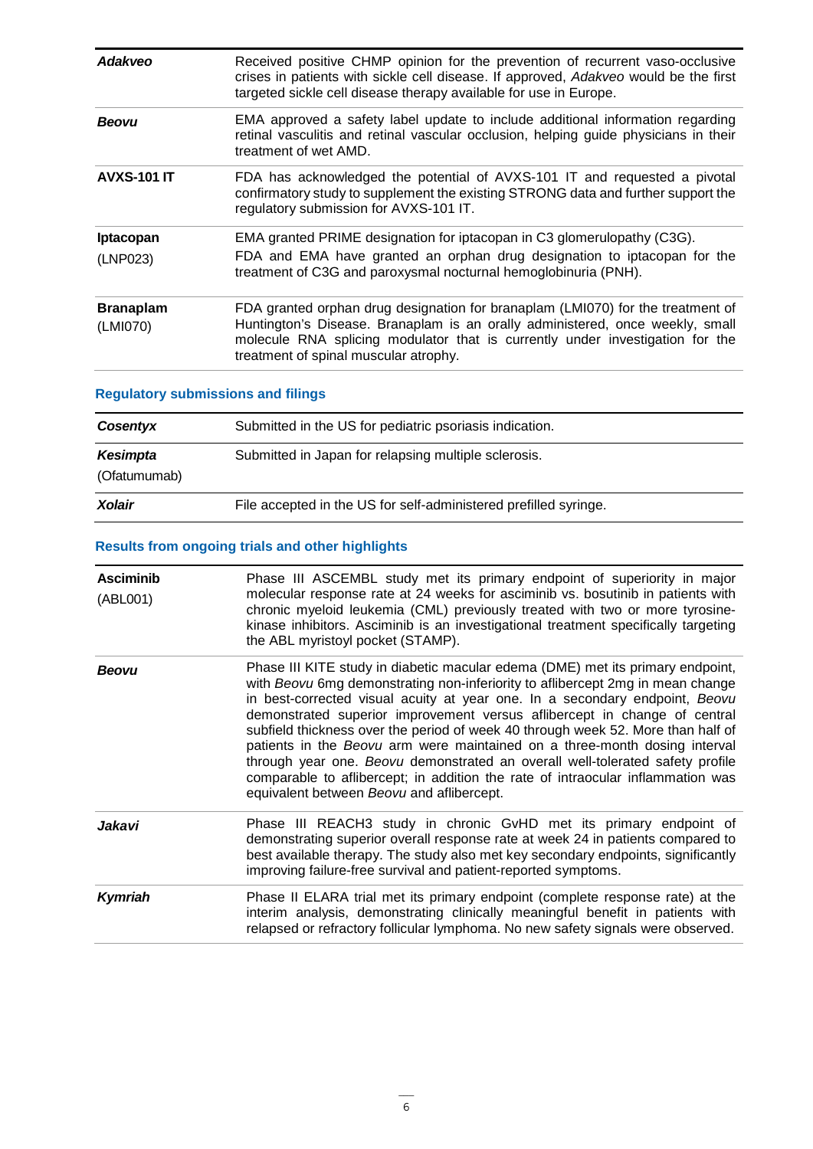| Adakveo                      | Received positive CHMP opinion for the prevention of recurrent vaso-occlusive<br>crises in patients with sickle cell disease. If approved, Adakveo would be the first<br>targeted sickle cell disease therapy available for use in Europe.                                                 |
|------------------------------|--------------------------------------------------------------------------------------------------------------------------------------------------------------------------------------------------------------------------------------------------------------------------------------------|
| <b>Beovu</b>                 | EMA approved a safety label update to include additional information regarding<br>retinal vasculitis and retinal vascular occlusion, helping guide physicians in their<br>treatment of wet AMD.                                                                                            |
| <b>AVXS-101 IT</b>           | FDA has acknowledged the potential of AVXS-101 IT and requested a pivotal<br>confirmatory study to supplement the existing STRONG data and further support the<br>regulatory submission for AVXS-101 IT.                                                                                   |
| Iptacopan<br>(LNP023)        | EMA granted PRIME designation for iptacopan in C3 glomerulopathy (C3G).<br>FDA and EMA have granted an orphan drug designation to iptacopan for the<br>treatment of C3G and paroxysmal nocturnal hemoglobinuria (PNH).                                                                     |
| <b>Branaplam</b><br>(LMI070) | FDA granted orphan drug designation for branaplam (LMI070) for the treatment of<br>Huntington's Disease. Branaplam is an orally administered, once weekly, small<br>molecule RNA splicing modulator that is currently under investigation for the<br>treatment of spinal muscular atrophy. |

### **Regulatory submissions and filings**

| Cosentyx                 | Submitted in the US for pediatric psoriasis indication.          |
|--------------------------|------------------------------------------------------------------|
| Kesimpta<br>(Ofatumumab) | Submitted in Japan for relapsing multiple sclerosis.             |
| Xolair                   | File accepted in the US for self-administered prefilled syringe. |

### **Results from ongoing trials and other highlights**

| <b>Asciminib</b><br>(ABL001) | Phase III ASCEMBL study met its primary endpoint of superiority in major<br>molecular response rate at 24 weeks for asciminib vs. bosutinib in patients with<br>chronic myeloid leukemia (CML) previously treated with two or more tyrosine-<br>kinase inhibitors. Asciminib is an investigational treatment specifically targeting<br>the ABL myristoyl pocket (STAMP).                                                                                                                                                                                                                                                                                                                                        |
|------------------------------|-----------------------------------------------------------------------------------------------------------------------------------------------------------------------------------------------------------------------------------------------------------------------------------------------------------------------------------------------------------------------------------------------------------------------------------------------------------------------------------------------------------------------------------------------------------------------------------------------------------------------------------------------------------------------------------------------------------------|
| <b>Beovu</b>                 | Phase III KITE study in diabetic macular edema (DME) met its primary endpoint,<br>with Beovu 6mg demonstrating non-inferiority to aflibercept 2mg in mean change<br>in best-corrected visual acuity at year one. In a secondary endpoint, Beovu<br>demonstrated superior improvement versus aflibercept in change of central<br>subfield thickness over the period of week 40 through week 52. More than half of<br>patients in the Beovu arm were maintained on a three-month dosing interval<br>through year one. Beovu demonstrated an overall well-tolerated safety profile<br>comparable to aflibercept; in addition the rate of intraocular inflammation was<br>equivalent between Beovu and aflibercept. |
| Jakavi                       | Phase III REACH3 study in chronic GvHD met its primary endpoint of<br>demonstrating superior overall response rate at week 24 in patients compared to<br>best available therapy. The study also met key secondary endpoints, significantly<br>improving failure-free survival and patient-reported symptoms.                                                                                                                                                                                                                                                                                                                                                                                                    |
| <b>Kymriah</b>               | Phase II ELARA trial met its primary endpoint (complete response rate) at the<br>interim analysis, demonstrating clinically meaningful benefit in patients with<br>relapsed or refractory follicular lymphoma. No new safety signals were observed.                                                                                                                                                                                                                                                                                                                                                                                                                                                             |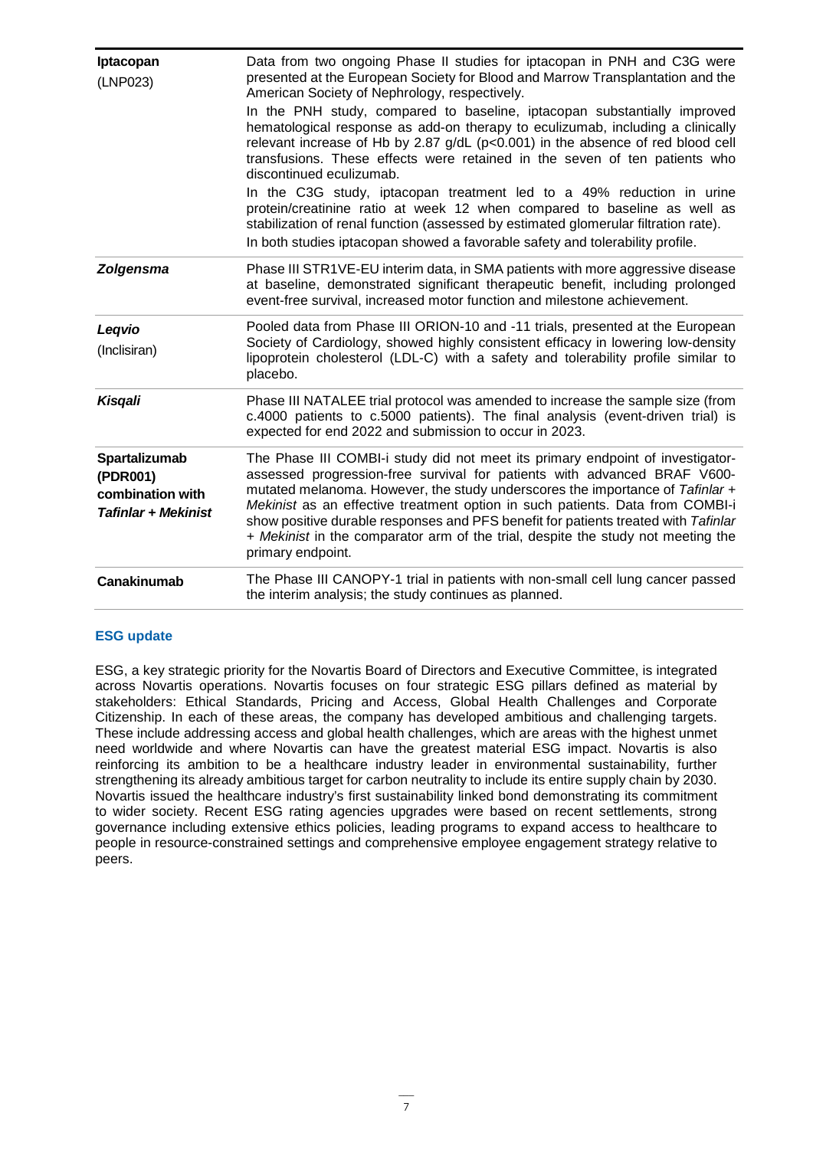| Iptacopan<br>(LNP023)                                                       | Data from two ongoing Phase II studies for iptacopan in PNH and C3G were<br>presented at the European Society for Blood and Marrow Transplantation and the<br>American Society of Nephrology, respectively.<br>In the PNH study, compared to baseline, iptacopan substantially improved<br>hematological response as add-on therapy to eculizumab, including a clinically<br>relevant increase of Hb by 2.87 g/dL (p<0.001) in the absence of red blood cell<br>transfusions. These effects were retained in the seven of ten patients who<br>discontinued eculizumab.<br>In the C3G study, iptacopan treatment led to a 49% reduction in urine<br>protein/creatinine ratio at week 12 when compared to baseline as well as<br>stabilization of renal function (assessed by estimated glomerular filtration rate).<br>In both studies iptacopan showed a favorable safety and tolerability profile. |
|-----------------------------------------------------------------------------|-----------------------------------------------------------------------------------------------------------------------------------------------------------------------------------------------------------------------------------------------------------------------------------------------------------------------------------------------------------------------------------------------------------------------------------------------------------------------------------------------------------------------------------------------------------------------------------------------------------------------------------------------------------------------------------------------------------------------------------------------------------------------------------------------------------------------------------------------------------------------------------------------------|
| <b>Zolgensma</b>                                                            | Phase III STR1VE-EU interim data, in SMA patients with more aggressive disease<br>at baseline, demonstrated significant therapeutic benefit, including prolonged<br>event-free survival, increased motor function and milestone achievement.                                                                                                                                                                                                                                                                                                                                                                                                                                                                                                                                                                                                                                                        |
| Legvio<br>(Inclisiran)                                                      | Pooled data from Phase III ORION-10 and -11 trials, presented at the European<br>Society of Cardiology, showed highly consistent efficacy in lowering low-density<br>lipoprotein cholesterol (LDL-C) with a safety and tolerability profile similar to<br>placebo.                                                                                                                                                                                                                                                                                                                                                                                                                                                                                                                                                                                                                                  |
| Kisqali                                                                     | Phase III NATALEE trial protocol was amended to increase the sample size (from<br>c.4000 patients to c.5000 patients). The final analysis (event-driven trial) is<br>expected for end 2022 and submission to occur in 2023.                                                                                                                                                                                                                                                                                                                                                                                                                                                                                                                                                                                                                                                                         |
| Spartalizumab<br>(PDR001)<br>combination with<br><b>Tafinlar + Mekinist</b> | The Phase III COMBI-i study did not meet its primary endpoint of investigator-<br>assessed progression-free survival for patients with advanced BRAF V600-<br>mutated melanoma. However, the study underscores the importance of Tafinlar +<br>Mekinist as an effective treatment option in such patients. Data from COMBI-i<br>show positive durable responses and PFS benefit for patients treated with Tafinlar<br>+ Mekinist in the comparator arm of the trial, despite the study not meeting the<br>primary endpoint.                                                                                                                                                                                                                                                                                                                                                                         |
| <b>Canakinumab</b>                                                          | The Phase III CANOPY-1 trial in patients with non-small cell lung cancer passed<br>the interim analysis; the study continues as planned.                                                                                                                                                                                                                                                                                                                                                                                                                                                                                                                                                                                                                                                                                                                                                            |

#### **ESG update**

ESG, a key strategic priority for the Novartis Board of Directors and Executive Committee, is integrated across Novartis operations. Novartis focuses on four strategic ESG pillars defined as material by stakeholders: Ethical Standards, Pricing and Access, Global Health Challenges and Corporate Citizenship. In each of these areas, the company has developed ambitious and challenging targets. These include addressing access and global health challenges, which are areas with the highest unmet need worldwide and where Novartis can have the greatest material ESG impact. Novartis is also reinforcing its ambition to be a healthcare industry leader in environmental sustainability, further strengthening its already ambitious target for carbon neutrality to include its entire supply chain by 2030. Novartis issued the healthcare industry's first sustainability linked bond demonstrating its commitment to wider society. Recent ESG rating agencies upgrades were based on recent settlements, strong governance including extensive ethics policies, leading programs to expand access to healthcare to people in resource-constrained settings and comprehensive employee engagement strategy relative to peers.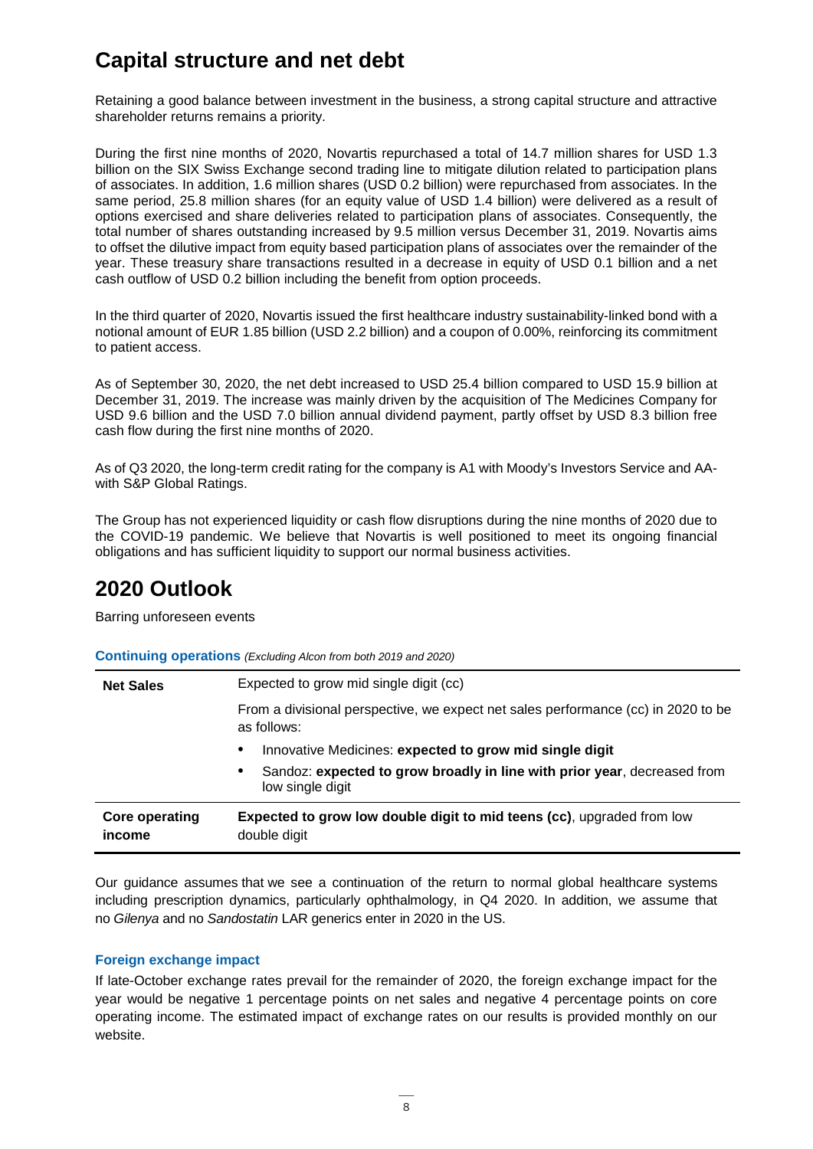# **Capital structure and net debt**

Retaining a good balance between investment in the business, a strong capital structure and attractive shareholder returns remains a priority.

During the first nine months of 2020, Novartis repurchased a total of 14.7 million shares for USD 1.3 billion on the SIX Swiss Exchange second trading line to mitigate dilution related to participation plans of associates. In addition, 1.6 million shares (USD 0.2 billion) were repurchased from associates. In the same period, 25.8 million shares (for an equity value of USD 1.4 billion) were delivered as a result of options exercised and share deliveries related to participation plans of associates. Consequently, the total number of shares outstanding increased by 9.5 million versus December 31, 2019. Novartis aims to offset the dilutive impact from equity based participation plans of associates over the remainder of the year. These treasury share transactions resulted in a decrease in equity of USD 0.1 billion and a net cash outflow of USD 0.2 billion including the benefit from option proceeds.

In the third quarter of 2020, Novartis issued the first healthcare industry sustainability-linked bond with a notional amount of EUR 1.85 billion (USD 2.2 billion) and a coupon of 0.00%, reinforcing its commitment to patient access.

As of September 30, 2020, the net debt increased to USD 25.4 billion compared to USD 15.9 billion at December 31, 2019. The increase was mainly driven by the acquisition of The Medicines Company for USD 9.6 billion and the USD 7.0 billion annual dividend payment, partly offset by USD 8.3 billion free cash flow during the first nine months of 2020.

As of Q3 2020, the long-term credit rating for the company is A1 with Moody's Investors Service and AAwith S&P Global Ratings.

The Group has not experienced liquidity or cash flow disruptions during the nine months of 2020 due to the COVID-19 pandemic. We believe that Novartis is well positioned to meet its ongoing financial obligations and has sufficient liquidity to support our normal business activities.

### **2020 Outlook**

Barring unforeseen events

| <b>Net Sales</b>                | Expected to grow mid single digit (cc)                                                           |  |  |  |  |  |
|---------------------------------|--------------------------------------------------------------------------------------------------|--|--|--|--|--|
|                                 | From a divisional perspective, we expect net sales performance (cc) in 2020 to be<br>as follows: |  |  |  |  |  |
|                                 | Innovative Medicines: expected to grow mid single digit                                          |  |  |  |  |  |
|                                 | Sandoz: expected to grow broadly in line with prior year, decreased from<br>low single digit     |  |  |  |  |  |
| <b>Core operating</b><br>income | <b>Expected to grow low double digit to mid teens (cc)</b> , upgraded from low<br>double digit   |  |  |  |  |  |

**Continuing operations** *(Excluding Alcon from both 2019 and 2020)*

Our guidance assumes that we see a continuation of the return to normal global healthcare systems including prescription dynamics, particularly ophthalmology, in Q4 2020. In addition, we assume that no *Gilenya* and no *Sandostatin* LAR generics enter in 2020 in the US.

#### **Foreign exchange impact**

If late-October exchange rates prevail for the remainder of 2020, the foreign exchange impact for the year would be negative 1 percentage points on net sales and negative 4 percentage points on core operating income. The estimated impact of exchange rates on our results is provided monthly on our website.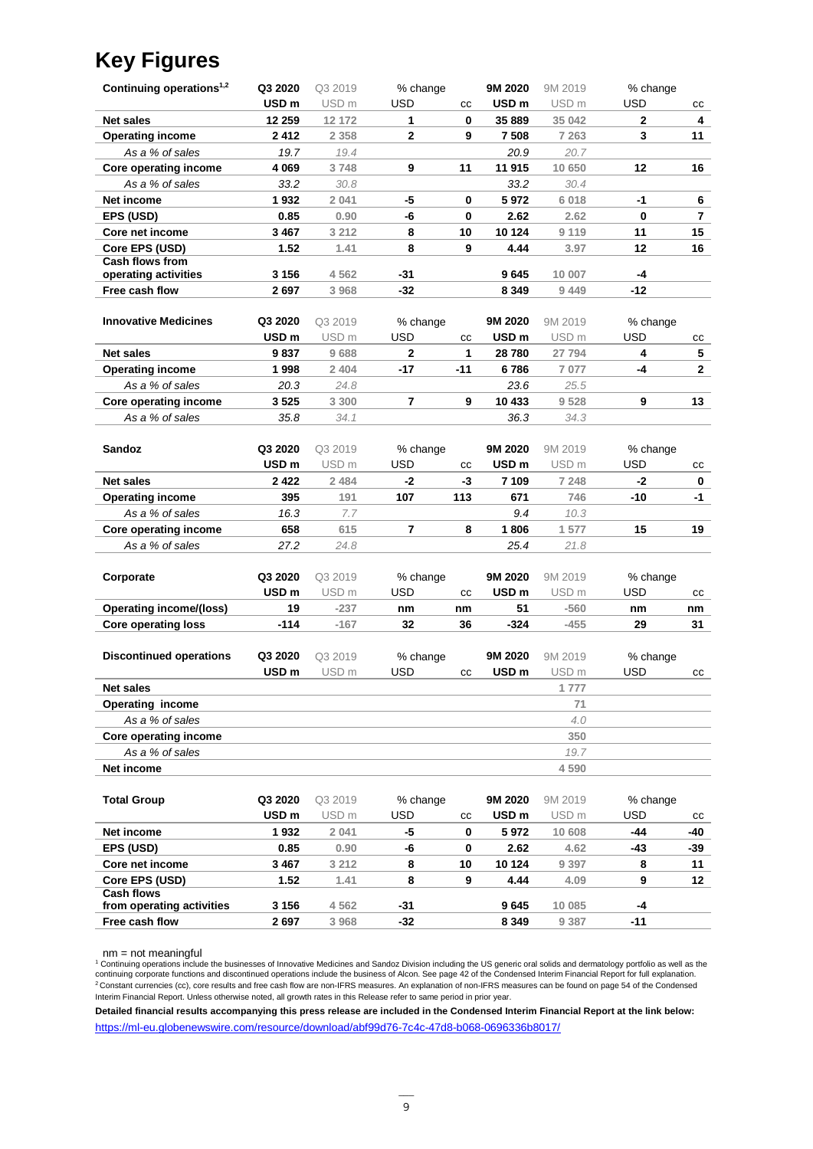# **Key Figures**

| Continuing operations <sup>1,2</sup> | Q3 2020          | Q3 2019          | % change   |      | 9M 2020          | 9M 2019          | % change    |              |
|--------------------------------------|------------------|------------------|------------|------|------------------|------------------|-------------|--------------|
|                                      | USD <sub>m</sub> | USD <sub>m</sub> | <b>USD</b> | cc   | USD <sub>m</sub> | USD <sub>m</sub> | <b>USD</b>  | cc           |
| <b>Net sales</b>                     | 12 259           | 12 172           | 1          | 0    | 35 889           | 35 042           | $\mathbf 2$ | 4            |
| <b>Operating income</b>              | 2412             | 2 3 5 8          | 2          | 9    | 7 508            | 7 2 6 3          | 3           | 11           |
| As a % of sales                      | 19.7             | 19.4             |            |      | 20.9             | 20.7             |             |              |
| Core operating income                | 4 0 6 9          | 3748             | 9          | 11   | 11 915           | 10 650           | 12          | 16           |
| As a % of sales                      | 33.2             | 30.8             |            |      | 33.2             | 30.4             |             |              |
| Net income                           | 1932             | 2 0 4 1          | -5         | 0    | 5972             | 6 0 18           | -1          | 6            |
| EPS (USD)                            | 0.85             | 0.90             | -6         | 0    | 2.62             | 2.62             | 0           | 7            |
| Core net income                      | 3467             | 3 2 1 2          | 8          | 10   | 10 124           | 9 1 1 9          | 11          | 15           |
| Core EPS (USD)                       | 1.52             | 1.41             | 8          | 9    | 4.44             | 3.97             | 12          | 16           |
| <b>Cash flows from</b>               |                  |                  |            |      |                  |                  |             |              |
| operating activities                 | 3 1 5 6          | 4562             | $-31$      |      | 9645             | 10 007           | -4          |              |
| Free cash flow                       | 2697             | 3 9 6 8          | $-32$      |      | 8 3 4 9          | 9 4 4 9          | $-12$       |              |
|                                      |                  |                  |            |      |                  |                  |             |              |
| <b>Innovative Medicines</b>          | Q3 2020          | Q3 2019          | % change   |      | 9M 2020          | 9M 2019          | % change    |              |
|                                      | USD <sub>m</sub> | USD <sub>m</sub> | USD        | cc   | USD <sub>m</sub> | USD <sub>m</sub> | USD         | СC           |
| <b>Net sales</b>                     | 9837             | 9688             | 2          | 1    | 28780            | 27 794           | 4           | 5            |
| <b>Operating income</b>              | 1998             | 2 4 0 4          | -17        | -11  | 6786             | 7 0 7 7          | -4          | $\mathbf{2}$ |
| As a % of sales                      | 20.3             | 24.8             |            |      | 23.6             | 25.5             |             |              |
| Core operating income                | 3525             | 3 3 0 0          | 7          | 9    | 10 433           | 9528             | 9           | 13           |
| As a % of sales                      | 35.8             | 34.1             |            |      | 36.3             | 34.3             |             |              |
|                                      |                  |                  |            |      |                  |                  |             |              |
| Sandoz                               | Q3 2020          | Q3 2019          | % change   |      | 9M 2020          | 9M 2019          | % change    |              |
|                                      | USD <sub>m</sub> | USD <sub>m</sub> | <b>USD</b> | cc   | USD <sub>m</sub> | USD <sub>m</sub> | <b>USD</b>  | СC           |
| <b>Net sales</b>                     | 2422             | 2484             | -2         | $-3$ | 7 109            | 7 248            | -2          | 0            |
| <b>Operating income</b>              | 395              | 191              | 107        | 113  | 671              | 746              | $-10$       | -1           |
| As a % of sales                      | 16.3             | 7.7              |            |      | 9.4              | 10.3             |             |              |
| Core operating income                | 658              | 615              | 7          | 8    | 1806             | 1 577            | 15          | 19           |
| As a % of sales                      | 27.2             | 24.8             |            |      | 25.4             | 21.8             |             |              |
|                                      |                  |                  |            |      |                  |                  |             |              |
| Corporate                            | Q3 2020          | Q3 2019          | % change   |      | 9M 2020          | 9M 2019          | % change    |              |
|                                      | USD <sub>m</sub> | USD <sub>m</sub> | USD        | cc   | USD <sub>m</sub> | USD <sub>m</sub> | USD         | cc           |
| <b>Operating income/(loss)</b>       | 19               | $-237$           | nm         | nm   | 51               | $-560$           | nm          | nm           |
| <b>Core operating loss</b>           | $-114$           | $-167$           | 32         | 36   | $-324$           | $-455$           | 29          | 31           |
|                                      |                  |                  |            |      |                  |                  |             |              |
| <b>Discontinued operations</b>       | Q3 2020          | Q3 2019          | % change   |      | 9M 2020          | 9M 2019          | % change    |              |
|                                      | USD <sub>m</sub> | USD <sub>m</sub> | USD        | cc   | USD <sub>m</sub> | USD <sub>m</sub> | USD         | СC           |
| <b>Net sales</b>                     |                  |                  |            |      |                  | 1777             |             |              |
| <b>Operating income</b>              |                  |                  |            |      |                  | 71               |             |              |
| As a % of sales                      |                  |                  |            |      |                  | 4.0              |             |              |
| Core operating income                |                  |                  |            |      |                  | 350              |             |              |
| As a % of sales                      |                  |                  |            |      |                  | 19.7             |             |              |
| Net income                           |                  |                  |            |      |                  | 4 5 9 0          |             |              |
|                                      |                  |                  |            |      |                  |                  |             |              |
| <b>Total Group</b>                   | Q3 2020          | Q3 2019          | % change   |      | 9M 2020          | 9M 2019          | % change    |              |
|                                      | USD <sub>m</sub> | USD <sub>m</sub> | USD        | cc   | USD <sub>m</sub> | USD <sub>m</sub> | USD         | СC           |
| Net income                           | 1932             | 2 0 4 1          | -5         | 0    | 5972             | 10 608           | -44         | -40          |
| EPS (USD)                            | 0.85             | 0.90             | -6         | 0    | 2.62             | 4.62             | -43         | -39          |
| Core net income                      | 3 4 6 7          | 3 2 1 2          | 8          | 10   | 10 124           | 9 3 9 7          | 8           | 11           |
| Core EPS (USD)                       | 1.52             | 1.41             | 8          | 9    | 4.44             | 4.09             | 9           | 12           |
| <b>Cash flows</b>                    |                  |                  |            |      |                  |                  |             |              |
| from operating activities            | 3 1 5 6          | 4562             | -31        |      | 9645             | 10 085           | -4          |              |
| Free cash flow                       | 2697             | 3 9 6 8          | $-32$      |      | 8 3 4 9          | 9 3 8 7          | $-11$       |              |

nm = not meaningful<br><sup>1</sup> Continuing operations include the businesses of Innovative Medicines and Sandoz Division including the US generic oral solids and dermatology portfolio as well as the<br>continuing corporate functions Interim Financial Report. Unless otherwise noted, all growth rates in this Release refer to same period in prior year.

**Detailed financial results accompanying this press release are included in the Condensed Interim Financial Report at the link below:** <https://ml-eu.globenewswire.com/resource/download/abf99d76-7c4c-47d8-b068-0696336b8017/>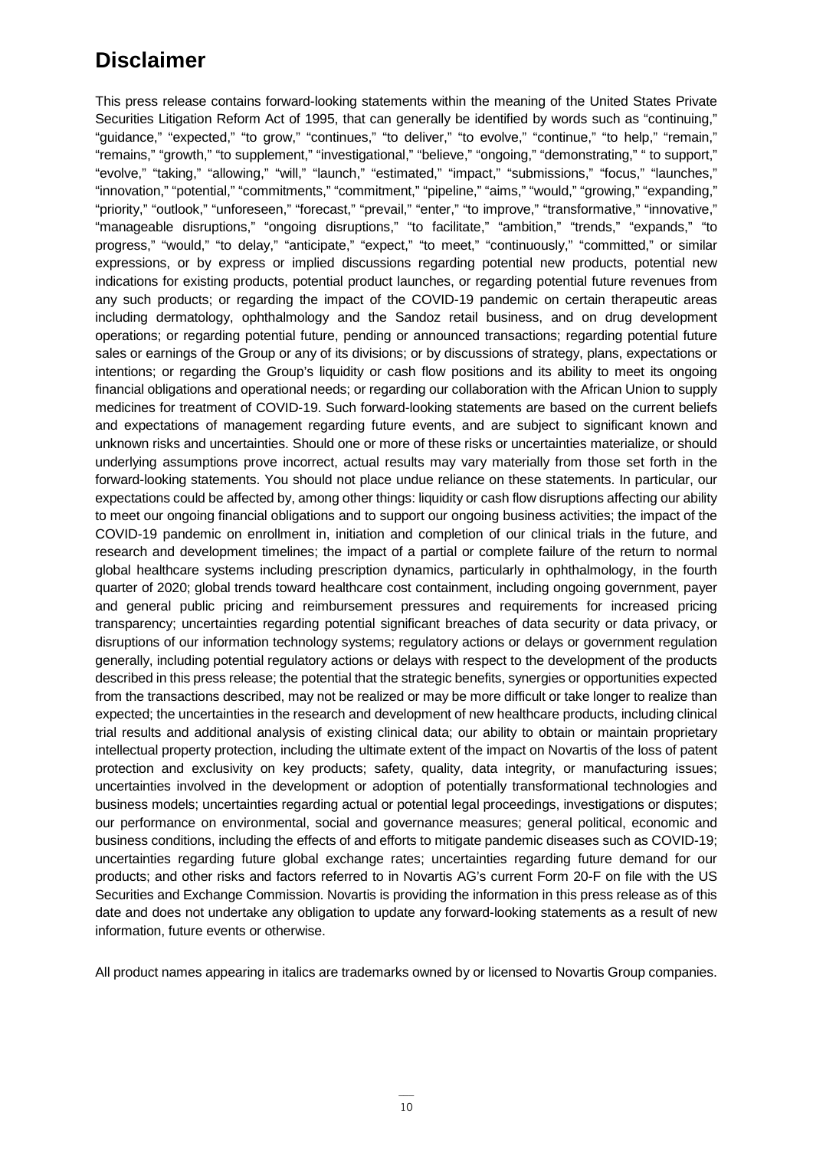### **Disclaimer**

This press release contains forward-looking statements within the meaning of the United States Private Securities Litigation Reform Act of 1995, that can generally be identified by words such as "continuing," "guidance," "expected," "to grow," "continues," "to deliver," "to evolve," "continue," "to help," "remain," "remains," "growth," "to supplement," "investigational," "believe," "ongoing," "demonstrating," " to support," "evolve," "taking," "allowing," "will," "launch," "estimated," "impact," "submissions," "focus," "launches," "innovation," "potential," "commitments," "commitment," "pipeline," "aims," "would," "growing," "expanding," "priority," "outlook," "unforeseen," "forecast," "prevail," "enter," "to improve," "transformative," "innovative," "manageable disruptions," "ongoing disruptions," "to facilitate," "ambition," "trends," "expands," "to progress," "would," "to delay," "anticipate," "expect," "to meet," "continuously," "committed," or similar expressions, or by express or implied discussions regarding potential new products, potential new indications for existing products, potential product launches, or regarding potential future revenues from any such products; or regarding the impact of the COVID-19 pandemic on certain therapeutic areas including dermatology, ophthalmology and the Sandoz retail business, and on drug development operations; or regarding potential future, pending or announced transactions; regarding potential future sales or earnings of the Group or any of its divisions; or by discussions of strategy, plans, expectations or intentions; or regarding the Group's liquidity or cash flow positions and its ability to meet its ongoing financial obligations and operational needs; or regarding our collaboration with the African Union to supply medicines for treatment of COVID-19. Such forward-looking statements are based on the current beliefs and expectations of management regarding future events, and are subject to significant known and unknown risks and uncertainties. Should one or more of these risks or uncertainties materialize, or should underlying assumptions prove incorrect, actual results may vary materially from those set forth in the forward-looking statements. You should not place undue reliance on these statements. In particular, our expectations could be affected by, among other things: liquidity or cash flow disruptions affecting our ability to meet our ongoing financial obligations and to support our ongoing business activities; the impact of the COVID-19 pandemic on enrollment in, initiation and completion of our clinical trials in the future, and research and development timelines; the impact of a partial or complete failure of the return to normal global healthcare systems including prescription dynamics, particularly in ophthalmology, in the fourth quarter of 2020; global trends toward healthcare cost containment, including ongoing government, payer and general public pricing and reimbursement pressures and requirements for increased pricing transparency; uncertainties regarding potential significant breaches of data security or data privacy, or disruptions of our information technology systems; regulatory actions or delays or government regulation generally, including potential regulatory actions or delays with respect to the development of the products described in this press release; the potential that the strategic benefits, synergies or opportunities expected from the transactions described, may not be realized or may be more difficult or take longer to realize than expected; the uncertainties in the research and development of new healthcare products, including clinical trial results and additional analysis of existing clinical data; our ability to obtain or maintain proprietary intellectual property protection, including the ultimate extent of the impact on Novartis of the loss of patent protection and exclusivity on key products; safety, quality, data integrity, or manufacturing issues; uncertainties involved in the development or adoption of potentially transformational technologies and business models; uncertainties regarding actual or potential legal proceedings, investigations or disputes; our performance on environmental, social and governance measures; general political, economic and business conditions, including the effects of and efforts to mitigate pandemic diseases such as COVID-19; uncertainties regarding future global exchange rates; uncertainties regarding future demand for our products; and other risks and factors referred to in Novartis AG's current Form 20-F on file with the US Securities and Exchange Commission. Novartis is providing the information in this press release as of this date and does not undertake any obligation to update any forward-looking statements as a result of new information, future events or otherwise.

All product names appearing in italics are trademarks owned by or licensed to Novartis Group companies.